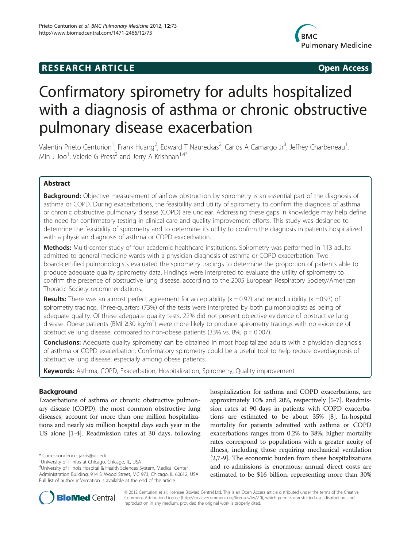# **RESEARCH ARTICLE Example 2018 12:00 Open Access**



# Confirmatory spirometry for adults hospitalized with a diagnosis of asthma or chronic obstructive pulmonary disease exacerbation

Valentin Prieto Centurion<sup>1</sup>, Frank Huang<sup>2</sup>, Edward T Naureckas<sup>2</sup>, Carlos A Camargo Jr<sup>3</sup>, Jeffrey Charbeneau<sup>1</sup> , Min J Joo<sup>1</sup>, Valerie G Press<sup>2</sup> and Jerry A Krishnan<sup>1,4\*</sup>

# Abstract

**Background:** Objective measurement of airflow obstruction by spirometry is an essential part of the diagnosis of asthma or COPD. During exacerbations, the feasibility and utility of spirometry to confirm the diagnosis of asthma or chronic obstructive pulmonary disease (COPD) are unclear. Addressing these gaps in knowledge may help define the need for confirmatory testing in clinical care and quality improvement efforts. This study was designed to determine the feasibility of spirometry and to determine its utility to confirm the diagnosis in patients hospitalized with a physician diagnosis of asthma or COPD exacerbation.

Methods: Multi-center study of four academic healthcare institutions. Spirometry was performed in 113 adults admitted to general medicine wards with a physician diagnosis of asthma or COPD exacerbation. Two board-certified pulmonologists evaluated the spirometry tracings to determine the proportion of patients able to produce adequate quality spirometry data. Findings were interpreted to evaluate the utility of spirometry to confirm the presence of obstructive lung disease, according to the 2005 European Respiratory Society/American Thoracic Society recommendations.

**Results:** There was an almost perfect agreement for acceptability ( $\kappa = 0.92$ ) and reproducibility ( $\kappa = 0.93$ ) of spirometry tracings. Three-quarters (73%) of the tests were interpreted by both pulmonologists as being of adequate quality. Of these adequate quality tests, 22% did not present objective evidence of obstructive lung disease. Obese patients (BMI ≥30 kg/m<sup>2</sup>) were more likely to produce spirometry tracings with no evidence of obstructive lung disease, compared to non-obese patients (33% vs. 8%,  $p = 0.007$ ).

**Conclusions:** Adequate quality spirometry can be obtained in most hospitalized adults with a physician diagnosis of asthma or COPD exacerbation. Confirmatory spirometry could be a useful tool to help reduce overdiagnosis of obstructive lung disease, especially among obese patients.

Keywords: Asthma, COPD, Exacerbation, Hospitalization, Spirometry, Quality improvement

# Background

Exacerbations of asthma or chronic obstructive pulmonary disease (COPD), the most common obstructive lung diseases, account for more than one million hospitalizations and nearly six million hospital days each year in the US alone [\[1-4](#page-5-0)]. Readmission rates at 30 days, following

\* Correspondence: [jakris@uic.edu](mailto:jakris@uic.edu) <sup>1</sup>

hospitalization for asthma and COPD exacerbations, are approximately 10% and 20%, respectively [\[5-7](#page-5-0)]. Readmission rates at 90-days in patients with COPD exacerbations are estimated to be about 35% [[8\]](#page-5-0). In-hospital mortality for patients admitted with asthma or COPD exacerbations ranges from 0.2% to 38%; higher mortality rates correspond to populations with a greater acuity of illness, including those requiring mechanical ventilation [[2,7-9\]](#page-5-0). The economic burden from these hospitalizations and re-admissions is enormous; annual direct costs are estimated to be \$16 billion, representing more than 30%



© 2012 Centurion et al.; licensee BioMed Central Ltd. This is an Open Access article distributed under the terms of the Creative Commons Attribution License [\(http://creativecommons.org/licenses/by/2.0\)](http://creativecommons.org/licenses/by/2.0), which permits unrestricted use, distribution, and reproduction in any medium, provided the original work is properly cited.

<sup>&</sup>lt;sup>1</sup>University of Illinios at Chicago, Chicago, IL, USA

<sup>4</sup> University of Illinois Hospital & Health Sciences System, Medical Center Administration Building, 914 S. Wood Street, MC 973, Chicago, IL 60612, USA Full list of author information is available at the end of the article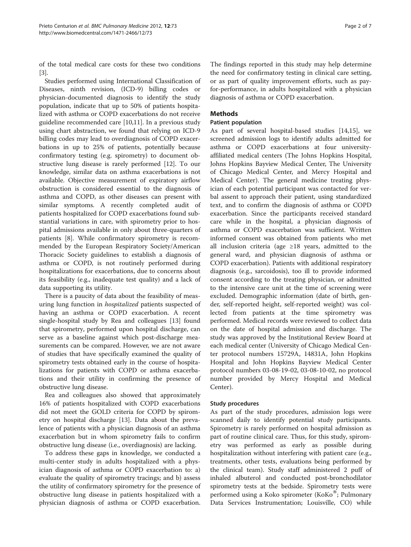of the total medical care costs for these two conditions [[3\]](#page-5-0).

Studies performed using International Classification of Diseases, ninth revision, (ICD-9) billing codes or physician-documented diagnosis to identify the study population, indicate that up to 50% of patients hospitalized with asthma or COPD exacerbations do not receive guideline recommended care [[10](#page-5-0),[11](#page-5-0)]. In a previous study using chart abstraction, we found that relying on ICD-9 billing codes may lead to overdiagnosis of COPD exacerbations in up to 25% of patients, potentially because confirmatory testing (e.g. spirometry) to document obstructive lung disease is rarely performed [[12](#page-5-0)]. To our knowledge, similar data on asthma exacerbations is not available. Objective measurement of expiratory airflow obstruction is considered essential to the diagnosis of asthma and COPD, as other diseases can present with similar symptoms. A recently completed audit of patients hospitalized for COPD exacerbations found substantial variations in care, with spirometry prior to hospital admissions available in only about three-quarters of patients [\[8](#page-5-0)]. While confirmatory spirometry is recommended by the European Respiratory Society/American Thoracic Society guidelines to establish a diagnosis of asthma or COPD, is not routinely performed during hospitalizations for exacerbations, due to concerns about its feasibility (e.g., inadequate test quality) and a lack of data supporting its utility.

There is a paucity of data about the feasibility of measuring lung function in hospitalized patients suspected of having an asthma or COPD exacerbation. A recent single-hospital study by Rea and colleagues [\[13\]](#page-5-0) found that spirometry, performed upon hospital discharge, can serve as a baseline against which post-discharge measurements can be compared. However, we are not aware of studies that have specifically examined the quality of spirometry tests obtained early in the course of hospitalizations for patients with COPD or asthma exacerbations and their utility in confirming the presence of obstructive lung disease.

Rea and colleagues also showed that approximately 16% of patients hospitalized with COPD exacerbations did not meet the GOLD criteria for COPD by spirometry on hospital discharge [[13](#page-5-0)]. Data about the prevalence of patients with a physician diagnosis of an asthma exacerbation but in whom spirometry fails to confirm obstructive lung disease (i.e., overdiagnosis) are lacking.

To address these gaps in knowledge, we conducted a multi-center study in adults hospitalized with a physician diagnosis of asthma or COPD exacerbation to: a) evaluate the quality of spirometry tracings; and b) assess the utility of confirmatory spirometry for the presence of obstructive lung disease in patients hospitalized with a physician diagnosis of asthma or COPD exacerbation.

The findings reported in this study may help determine the need for confirmatory testing in clinical care setting, or as part of quality improvement efforts, such as payfor-performance, in adults hospitalized with a physician diagnosis of asthma or COPD exacerbation.

# **Methods**

### Patient population

As part of several hospital-based studies [\[14](#page-5-0)[,15\]](#page-6-0), we screened admission logs to identify adults admitted for asthma or COPD exacerbations at four universityaffiliated medical centers (The Johns Hopkins Hospital, Johns Hopkins Bayview Medical Center, The University of Chicago Medical Center, and Mercy Hospital and Medical Center). The general medicine treating physician of each potential participant was contacted for verbal assent to approach their patient, using standardized text, and to confirm the diagnosis of asthma or COPD exacerbation. Since the participants received standard care while in the hospital, a physician diagnosis of asthma or COPD exacerbation was sufficient. Written informed consent was obtained from patients who met all inclusion criteria (age ≥18 years, admitted to the general ward, and physician diagnosis of asthma or COPD exacerbation). Patients with additional respiratory diagnosis (e.g., sarcoidosis), too ill to provide informed consent according to the treating physician, or admitted to the intensive care unit at the time of screening were excluded. Demographic information (date of birth, gender, self-reported height, self-reported weight) was collected from patients at the time spirometry was performed. Medical records were reviewed to collect data on the date of hospital admission and discharge. The study was approved by the Institutional Review Board at each medical center (University of Chicago Medical Center protocol numbers 15729A, 14831A, John Hopkins Hospital and John Hopkins Bayview Medical Center protocol numbers 03-08-19-02, 03-08-10-02, no protocol number provided by Mercy Hospital and Medical Center).

# Study procedures

As part of the study procedures, admission logs were scanned daily to identify potential study participants. Spirometry is rarely performed on hospital admission as part of routine clinical care. Thus, for this study, spirometry was performed as early as possible during hospitalization without interfering with patient care (e.g., treatments, other tests, evaluations being performed by the clinical team). Study staff administered 2 puff of inhaled albuterol and conducted post-bronchodilator spirometry tests at the bedside. Spirometry tests were performed using a Koko spirometer (KoKo<sup>®</sup>; Pulmonary Data Services Instrumentation; Louisville, CO) while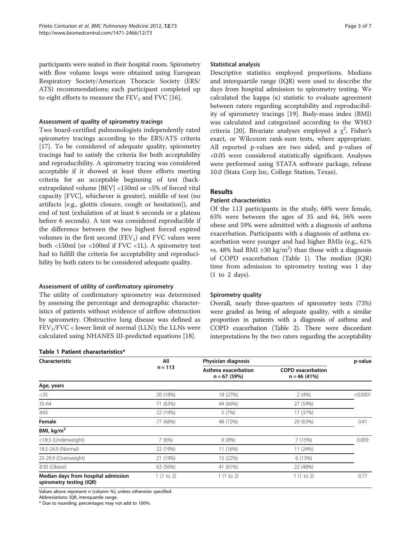participants were seated in their hospital room. Spirometry with flow volume loops were obtained using European Respiratory Society/American Thoracic Society (ERS/ ATS) recommendations; each participant completed up to eight efforts to measure the  $FEV<sub>1</sub>$  and  $FVC$  [\[16](#page-6-0)].

# Assessment of quality of spirometry tracings

Two board-certified pulmonologists independently rated spirometry tracings according to the ERS/ATS criteria [[17\]](#page-6-0). To be considered of adequate quality, spirometry tracings had to satisfy the criteria for both acceptability and reproducibility. A spirometry tracing was considered acceptable if it showed at least three efforts meeting criteria for an acceptable beginning of test (backextrapolated volume [BEV] <150ml or <5% of forced vital capacity [FVC], whichever is greater), middle of test (no artifacts [e.g., glottis closure, cough or hesitation]), and end of test (exhalation of at least 6 seconds or a plateau before 6 seconds). A test was considered reproducible if the difference between the two highest forced expired volumes in the first second  $(FEV<sub>1</sub>)$  and FVC values were both <150ml (or <100ml if FVC <1L). A spirometry test had to fulfill the criteria for acceptability and reproducibility by both raters to be considered adequate quality.

#### Assessment of utility of confirmatory spirometry

The utility of confirmatory spirometry was determined by assessing the percentage and demographic characteristics of patients without evidence of airflow obstruction by spirometry. Obstructive lung disease was defined as  $FEV<sub>1</sub>/FVC <$  lower limit of normal (LLN); the LLNs were calculated using NHANES III-predicted equations [\[18](#page-6-0)].

# Table 1 Patient characteristics\*

#### Statistical analysis

Descriptive statistics employed proportions. Medians and interquartile range (IQR) were used to describe the days from hospital admission to spirometry testing. We calculated the kappa (κ) statistic to evaluate agreement between raters regarding acceptability and reproducibility of spirometry tracings [\[19](#page-6-0)]. Body-mass index (BMI) was calculated and categorized according to the WHO criteria [[20](#page-6-0)]. Bivariate analyses employed a  $\chi^2$ , Fisher's exact, or Wilcoxon rank-sum tests, where appropriate. All reported p-values are two sided, and p-values of <0.05 were considered statistically significant. Analyses were performed using STATA software package, release 10.0 (Stata Corp Inc, College Station, Texas).

## Results

#### Patient characteristics

Of the 113 participants in the study, 68% were female, 63% were between the ages of 35 and 64, 56% were obese and 59% were admitted with a diagnosis of asthma exacerbation. Participants with a diagnosis of asthma exacerbation were younger and had higher BMIs (e.g., 61% vs. 48% had BMI ≥30 kg/m<sup>2</sup>) than those with a diagnosis of COPD exacerbation (Table 1). The median (IQR) time from admission to spirometry testing was 1 day (1 to 2 days).

# Spirometry quality

Overall, nearly three-quarters of spirometry tests (73%) were graded as being of adequate quality, with a similar proportion in patients with a diagnosis of asthma and COPD exacerbation (Table [2\)](#page-3-0). There were discordant interpretations by the two raters regarding the acceptability

| Characteristic                                                  | All<br>$n = 113$ | Physician diagnosis                  |                                           | p-value  |
|-----------------------------------------------------------------|------------------|--------------------------------------|-------------------------------------------|----------|
|                                                                 |                  | Asthma exacerbation<br>$n = 67(59%)$ | <b>COPD</b> exacerbation<br>$n = 46(41%)$ |          |
| Age, years                                                      |                  |                                      |                                           |          |
| $<$ 35                                                          | 20 (18%)         | 18 (27%)                             | 2(4%)                                     | < 0.0001 |
| $35 - 64$                                                       | 71 (63%)         | 44 (66%)                             | 27 (59%)                                  |          |
| $\geq 65$                                                       | 22 (19%)         | 5(7%)                                | 17 (37%)                                  |          |
| Female                                                          | 77 (68%)         | 48 (72%)                             | 29 (63%)                                  | 0.41     |
| BMI, $kg/m2$                                                    |                  |                                      |                                           |          |
| <18.5 (Underweight)                                             | 7(6%)            | $0(0\%)$                             | 7(15%)                                    | 0.009    |
| 18.5-24.9 (Normal)                                              | 22 (19%)         | 11 (16%)                             | 11 (24%)                                  |          |
| 25-29.9 (Overweight)                                            | 21 (19%)         | 15 (22%)                             | 6(13%)                                    |          |
| $\geq$ 30 (Obese)                                               | 63 (56%)         | 41 (61%)                             | 22 (48%)                                  |          |
| Median days from hospital admission<br>spirometry testing (IQR) | 1(1 to 2)        | 1(1 to 2)                            | 1(1 to 2)                                 | 0.77     |

Values above represent n (column %), unless otherwise specified.

Abbreviations: IQR, interquartile range.

\* Due to rounding, percentages may not add to 100%.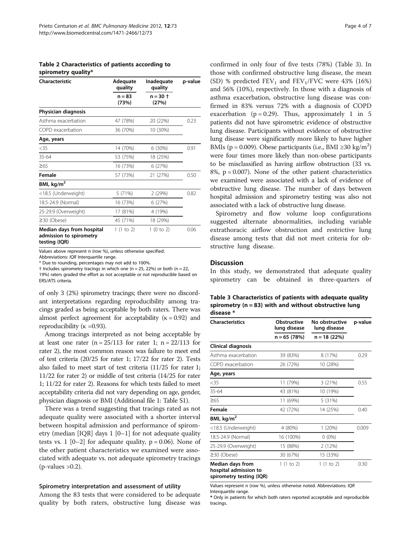<span id="page-3-0"></span>Table 2 Characteristics of patients according to spirometry quality\*

| Characteristic                                                        | Adequate<br>quality<br>$n = 83$<br>(73%) | Inadequate<br>quality<br>$n = 30 +$<br>(27%) | p-value |
|-----------------------------------------------------------------------|------------------------------------------|----------------------------------------------|---------|
|                                                                       |                                          |                                              |         |
| Physician diagnosis                                                   |                                          |                                              |         |
| Asthma exacerbation                                                   | 47 (78%)                                 | 20 (22%)                                     | 0.23    |
| COPD exacerbation                                                     | 36 (70%)                                 | 10 (30%)                                     |         |
| Age, years                                                            |                                          |                                              |         |
| $35$                                                                  | 14 (70%)                                 | 6(30%)                                       | 0.91    |
| $35 - 64$                                                             | 53 (75%)                                 | 18 (25%)                                     |         |
| $\geq 65$                                                             | 16 (73%)                                 | 6(27%)                                       |         |
| Female                                                                | 57 (73%)                                 | 21 (27%)                                     | 0.50    |
| BMI, kg/m <sup>2</sup>                                                |                                          |                                              |         |
| <18.5 (Underweight)                                                   | 5 (71%)                                  | 2 (29%)                                      | 0.82    |
| 18.5-24.9 (Normal)                                                    | 16 (73%)                                 | 6(27%)                                       |         |
| 25-29.9 (Overweight)                                                  | 17 (81%)                                 | 4 (19%)                                      |         |
| $\geq$ 30 (Obese)                                                     | 45 (71%)                                 | 18 (29%)                                     |         |
| Median days from hospital<br>admission to spirometry<br>testing (IQR) | 1(1 to 2)                                | 1(0 to 2)                                    | 0.06    |

Values above represent n (row %), unless otherwise specified.

Abbreviations: IQR Interquartile range.

\* Due to rounding, percentages may not add to 100%.

† Includes spirometry tracings in which one (n = 25, 22%) or both (n = 22, 19%) raters graded the effort as not acceptable or not reproducible based on ERS/ATS criteria.

of only 3 (2%) spirometry tracings; there were no discordant interpretations regarding reproducibility among tracings graded as being acceptable by both raters. There was almost perfect agreement for acceptability ( $\kappa = 0.92$ ) and reproducibility ( $\kappa = 0.93$ ).

Among tracings interpreted as not being acceptable by at least one rater  $(n = 25/113$  for rater 1;  $n = 22/113$  for rater 2), the most common reason was failure to meet end of test criteria (20/25 for rater 1; 17/22 for rater 2). Tests also failed to meet start of test criteria (11/25 for rater 1; 11/22 for rater 2) or middle of test criteria (14/25 for rater 1; 11/22 for rater 2). Reasons for which tests failed to meet acceptability criteria did not vary depending on age, gender, physician diagnosis or BMI (Additional file [1:](#page-5-0) Table S1).

There was a trend suggesting that tracings rated as not adequate quality were associated with a shorter interval between hospital admission and performance of spirometry (median [IQR] days 1 [0–1] for not adequate quality tests vs. 1  $[0-2]$  for adequate quality,  $p = 0.06$ ). None of the other patient characteristics we examined were associated with adequate vs. not adequate spirometry tracings  $(p$ -values  $>0.2$ ).

#### Spirometry interpretation and assessment of utility

Among the 83 tests that were considered to be adequate quality by both raters, obstructive lung disease was confirmed in only four of five tests (78%) (Table 3). In those with confirmed obstructive lung disease, the mean (SD) % predicted  $FEV_1$  and  $FEV_1/FVC$  were 43% (16%) and 56% (10%), respectively. In those with a diagnosis of asthma exacerbation, obstructive lung disease was confirmed in 83% versus 72% with a diagnosis of COPD exacerbation ( $p = 0.29$ ). Thus, approximately 1 in 5 patients did not have spirometric evidence of obstructive lung disease. Participants without evidence of obstructive lung disease were significantly more likely to have higher BMIs ( $p = 0.009$ ). Obese participants (i.e., BMI ≥30 kg/m<sup>2</sup>) were four times more likely than non-obese participants to be misclassified as having airflow obstruction (33 vs. 8%,  $p = 0.007$ ). None of the other patient characteristics we examined were associated with a lack of evidence of obstructive lung disease. The number of days between hospital admission and spirometry testing was also not associated with a lack of obstructive lung disease.

Spirometry and flow volume loop configurations suggested alternate abnormalities, including variable extrathoracic airflow obstruction and restrictive lung disease among tests that did not meet criteria for obstructive lung disease.

#### **Discussion**

In this study, we demonstrated that adequate quality spirometry can be obtained in three-quarters of

| Table 3 Characteristics of patients with adequate quality |
|-----------------------------------------------------------|
| spirometry ( $n = 83$ ) with and without obstructive lung |
| disease *                                                 |

| <b>Characteristics</b>                                                | <b>Obstructive</b><br>lung disease | No obstructive<br>lung disease | p-value |  |
|-----------------------------------------------------------------------|------------------------------------|--------------------------------|---------|--|
|                                                                       | $n = 65(78%)$                      | $n = 18(22%)$                  |         |  |
| Clinical diagnosis                                                    |                                    |                                |         |  |
| Asthma exacerbation                                                   | 39 (83%)                           | 8 (17%)                        | 0.29    |  |
| COPD exacerbation                                                     | 26 (72%)                           | 10 (28%)                       |         |  |
| Age, years                                                            |                                    |                                |         |  |
| $<$ 35                                                                | 11 (79%)                           | 3(21%)                         | 0.55    |  |
| 35-64                                                                 | 43 (81%)                           | 10 (19%)                       |         |  |
| $\geq 65$                                                             | 11 (69%)                           | 5 (31%)                        |         |  |
| Female                                                                | 42 (72%)                           | 14 (25%)                       | 0.40    |  |
| BMI, kg/m <sup>2</sup>                                                |                                    |                                |         |  |
| <18.5 (Underweight)                                                   | 4 (80%)                            | 1(20%)                         | 0.009   |  |
| 18.5-24.9 (Normal)                                                    | 16 (100%)                          | $0(0\%)$                       |         |  |
| 25-29.9 (Overweight)                                                  | 15 (88%)                           | 2 (12%)                        |         |  |
| ≥30 (Obese)                                                           | 30 (67%)                           | 15 (33%)                       |         |  |
| Median days from<br>hospital admission to<br>spirometry testing (IQR) | 1(1 to 2)                          | 1(1 to 2)                      | 0.30    |  |

Values represent n (row %), unless otherwise noted. Abbreviations: IQR Interquartile range.

\* Only in patients for which both raters reported acceptable and reproducible tracings.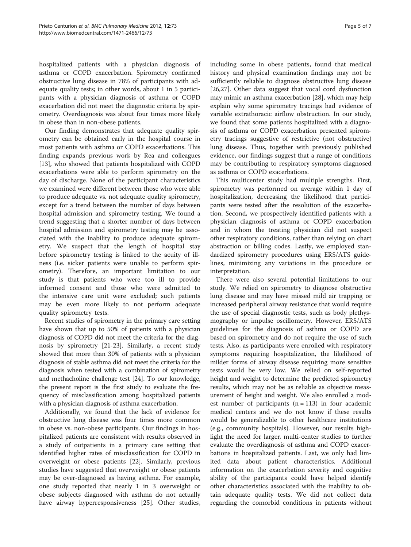hospitalized patients with a physician diagnosis of asthma or COPD exacerbation. Spirometry confirmed obstructive lung disease in 78% of participants with adequate quality tests; in other words, about 1 in 5 participants with a physician diagnosis of asthma or COPD exacerbation did not meet the diagnostic criteria by spirometry. Overdiagnosis was about four times more likely in obese than in non-obese patients.

Our finding demonstrates that adequate quality spirometry can be obtained early in the hospital course in most patients with asthma or COPD exacerbations. This finding expands previous work by Rea and colleagues [[13\]](#page-5-0), who showed that patients hospitalized with COPD exacerbations were able to perform spirometry on the day of discharge. None of the participant characteristics we examined were different between those who were able to produce adequate vs. not adequate quality spirometry, except for a trend between the number of days between hospital admission and spirometry testing. We found a trend suggesting that a shorter number of days between hospital admission and spirometry testing may be associated with the inability to produce adequate spirometry. We suspect that the length of hospital stay before spirometry testing is linked to the acuity of illness (i.e. sicker patients were unable to perform spirometry). Therefore, an important limitation to our study is that patients who were too ill to provide informed consent and those who were admitted to the intensive care unit were excluded; such patients may be even more likely to not perform adequate quality spirometry tests.

Recent studies of spirometry in the primary care setting have shown that up to 50% of patients with a physician diagnosis of COPD did not meet the criteria for the diagnosis by spirometry [[21](#page-6-0)-[23](#page-6-0)]. Similarly, a recent study showed that more than 30% of patients with a physician diagnosis of stable asthma did not meet the criteria for the diagnosis when tested with a combination of spirometry and methacholine challenge test [[24](#page-6-0)]. To our knowledge, the present report is the first study to evaluate the frequency of misclassification among hospitalized patients with a physician diagnosis of asthma exacerbation.

Additionally, we found that the lack of evidence for obstructive lung disease was four times more common in obese vs. non-obese participants. Our findings in hospitalized patients are consistent with results observed in a study of outpatients in a primary care setting that identified higher rates of misclassification for COPD in overweight or obese patients [\[22](#page-6-0)]. Similarly, previous studies have suggested that overweight or obese patients may be over-diagnosed as having asthma. For example, one study reported that nearly 1 in 3 overweight or obese subjects diagnosed with asthma do not actually have airway hyperresponsiveness [\[25](#page-6-0)]. Other studies, including some in obese patients, found that medical history and physical examination findings may not be sufficiently reliable to diagnose obstructive lung disease [[26,27\]](#page-6-0). Other data suggest that vocal cord dysfunction may mimic an asthma exacerbation [[28\]](#page-6-0), which may help explain why some spirometry tracings had evidence of variable extrathoracic airflow obstruction. In our study, we found that some patients hospitalized with a diagnosis of asthma or COPD exacerbation presented spirometry tracings suggestive of restrictive (not obstructive) lung disease. Thus, together with previously published evidence, our findings suggest that a range of conditions may be contributing to respiratory symptoms diagnosed as asthma or COPD exacerbations.

This multicenter study had multiple strengths. First, spirometry was performed on average within 1 day of hospitalization, decreasing the likelihood that participants were tested after the resolution of the exacerbation. Second, we prospectively identified patients with a physician diagnosis of asthma or COPD exacerbation and in whom the treating physician did not suspect other respiratory conditions, rather than relying on chart abstraction or billing codes. Lastly, we employed standardized spirometry procedures using ERS/ATS guidelines, minimizing any variations in the procedure or interpretation.

There were also several potential limitations to our study. We relied on spirometry to diagnose obstructive lung disease and may have missed mild air trapping or increased peripheral airway resistance that would require the use of special diagnostic tests, such as body plethysmography or impulse oscillometry. However, ERS/ATS guidelines for the diagnosis of asthma or COPD are based on spirometry and do not require the use of such tests. Also, as participants were enrolled with respiratory symptoms requiring hospitalization, the likelihood of milder forms of airway disease requiring more sensitive tests would be very low. We relied on self-reported height and weight to determine the predicted spirometry results, which may not be as reliable as objective measurement of height and weight. We also enrolled a modest number of participants  $(n = 113)$  in four academic medical centers and we do not know if these results would be generalizable to other healthcare institutions (e.g., community hospitals). However, our results highlight the need for larger, multi-center studies to further evaluate the overdiagnosis of asthma and COPD exacerbations in hospitalized patients. Last, we only had limited data about patient characteristics. Additional information on the exacerbation severity and cognitive ability of the participants could have helped identify other characteristics associated with the inability to obtain adequate quality tests. We did not collect data regarding the comorbid conditions in patients without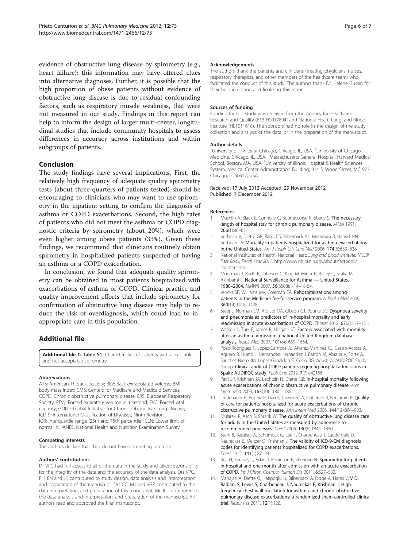<span id="page-5-0"></span>evidence of obstructive lung disease by spirometry (e.g., heart failure); this information may have offered clues into alternative diagnoses. Further, it is possible that the high proportion of obese patients without evidence of obstructive lung disease is due to residual confounding factors, such as respiratory muscle weakness, that were not measured in our study. Findings in this report can help to inform the design of larger multi-center, longitudinal studies that include community hospitals to assess differences in accuracy across institutions and within subgroups of patients.

# Conclusion

The study findings have several implications. First, the relatively high frequency of adequate quality spirometry tests (about three-quarters of patients tested) should be encouraging to clinicians who may want to use spirometry in the inpatient setting to confirm the diagnosis of asthma or COPD exacerbations. Second, the high rates of patients who did not meet the asthma or COPD diagnostic criteria by spirometry (about 20%), which were even higher among obese patients (33%). Given these findings, we recommend that clinicians routinely obtain spirometry in hospitalized patients suspected of having an asthma or a COPD exacerbation.

In conclusion, we found that adequate quality spirometry can be obtained in most patients hospitalized with exacerbations of asthma or COPD. Clinical practice and quality improvement efforts that include spirometry for confirmation of obstructive lung disease may help to reduce the risk of overdiagnosis, which could lead to inappropriate care in this population.

# Additional file

[Additional file 1:](http://www.biomedcentral.com/content/supplementary/1471-2466-12-73-S1.doc) Table S1. Characteristics of patients with acceptable and not acceptable spirometry.

#### Abbreviations

ATS: American Thoracic Society; BEV: Back extrapolated volume; BMI: Body-mass index; CMS: Centers for Medicare and Medicaid Services; COPD: Chronic obstructive pulmonary disease; ERS: European Respiratory Society; FEV<sub>1</sub>: Forced expiratory volume in 1 second; FVC: Forced vital capacity; GOLD: Global Initiative for Chronic Obstructive Lung Disease; ICD-9: International Classification of Diseases, Ninth Revision; IQR: Interquartile range (25th and 75th percentile); LLN: Lower limit of normal; NHANES: National Health and Nutrition Examination Survey.

#### Competing interests

The authors declare that they do not have competing interests.

#### Authors' contributions

Dr VPC had full access to all of the data in the study and takes responsibility for the integrity of the data and the accuracy of the data analysis. Drs VPC, FH, EN and JK contributed to study design, data analysis and interpretation, and preparation of the manuscript. Drs CC, MJ and VGP contributed to the data interpretation, and preparation of this manuscript. Mr JC contributed to the data analysis and interpretation, and preparation of the manuscript. All authors read and approved the final manuscript.

#### Acknowledgements

The authors thank the patients and clinicians (treating physicians, nurses, respiratory therapists, and other members of the healthcare team) who facilitated the conduct of this study. The authors thank Dr. Helene Gussin for their help in editing and finalizing this report.

#### Sources of funding

Funding for this study was received from the Agency for Healthcare Research and Quality (R13 HS017894) and National Heart, Lung, and Blood Institute (HL1011618). The sponsors had no role in the design of the study, collection and analysis of the data, or in the preparation of the manuscript.

#### Author details

<sup>1</sup> University of Illinios at Chicago, Chicago, IL, USA. <sup>2</sup> University of Chicago Medicine, Chicago, IL, USA. <sup>3</sup>Massachusetts General Hospital, Harvard Medical School, Boston, MA, USA. <sup>4</sup>University of Illinois Hospital & Health Sciences System, Medical Center Administration Building, 914 S. Wood Street, MC 973, Chicago, IL 60612, USA.

#### Received: 17 July 2012 Accepted: 29 November 2012 Published: 7 December 2012

#### References

- Mushlin A, Black E, Connolly C, Buonaccorso K, Eberly S: The necessary length of hospital stay for chronic pulmonary disease. JAMA 1991, 266(1):80–83.
- 2. Krishnan V, Diette GB, Rand CS, Bilderback AL, Merriman B, Hansel NN, Krishnan JA: Mortality in patients hospitalized for asthma exacerbations in the United States. Am J Respir Crit Care Med 2006, 174(6):633-638.
- 3. National Institutes of Health. National Heart: Lung and Blood Institute: NHLBI Fact Book, Fiscal Year 2011. [http://www.nhlbi.nih.gov/about/factbook/](http://www.nhlbi.nih.gov/about/factbook/chapter4.htm) [chapter4.htm.](http://www.nhlbi.nih.gov/about/factbook/chapter4.htm)
- 4. Moorman J, Rudd R, Johnson C, King M, Minor P, Bailey C, Scalia M, Akinbami L: National Surveillance for Asthma - United States, 1980–2004. MMWR 2007, 56(SS08):1-14–18-54.
- 5. Jencks SF, Williams MV, Coleman EA: Rehospitalizations among patients in the Medicare fee-for-service program. N Engl J Med 2009, 360(14):1418–1428.
- 6. Steer J, Norman EM, Afolabi OA, Gibson GJ, Bourke SC: Dyspnoea severity and pneumonia as predictors of in-hospital mortality and early readmission in acute exacerbations of COPD. Thorax 2012, 67(2):117–121.
- 7. Watson L, Turk F, James P, Holgate ST: Factors associated with mortality after an asthma admission: a national United Kingdom database analysis. Respir Med 2007, 101(8):1659–1664.
- 8. Pozo-Rodriguez F, Lopez-Campos JL, Alvarez-Martinez CJ, Castro-Acosta A, Aguero R, Hueto J, Hernandez-Hernandez J, Barron M, Abraira V, Forte A, Sanchez Nieto JM, Lopez-Gabaldon E, Cosio BG, Agusti A, AUDIPOC Study Group: Clinical audit of COPD patients requiring hospital admissions in Spain: AUDIPOC study. PLoS One 2012, 7(7):e42156.
- 9. Patil SP, Krishnan JA, Lechtzin N, Diette GB: In-hospital mortality following acute exacerbations of chronic obstructive pulmonary disease. Arch Intern Med 2003, 163(10):1180–1186.
- 10. Lindenauer P, Pekow P, Gao S, Crawford A, Gutierrez B, Benjamin E: Quality of care for patients hospitalized for acute exacerbations of chronic obstructive pulmonary disease. Ann Intern Med 2006, 144(12):894–903.
- 11. Mularski R, Asch S, Shrank W: The quality of obstructive lung disease care for adults in the United States as measured by adherence to recommended processes. Chest 2006, 130(6):1844–1850.
- 12. Stein B, Bautista A, Schumock G, Lee T, Charbeneau J, Lauderdale D, Naureckas E, Meltzer D, Krishnan J: The validity of ICD-9-CM diagnosis codes for identifying patients hospitalized for COPD exacerbations. Chest 2012, 141(1):87–93.
- 13. Rea H, Kenealy T, Adair J, Robinson E, Sheridan N: Spirometry for patients in hospital and one month after admission with an acute exacerbation of COPD. Int J Chron Obstruct Pulmon Dis 2011, 6:527–532.
- 14. Mahajan A, Diette G, Hatipoglu U, Bilberback A, Ridge A, Harris V: V D, Badlani S, Lewis S, Charbeneau J, Naureckas E, Krishnan J: High frequency chest wall oscillation for asthma and chronic obstructive pulmonary disease exacerbations: a randomized sham-controlled clinical trial. Respir Res 2011, 12(1):120.